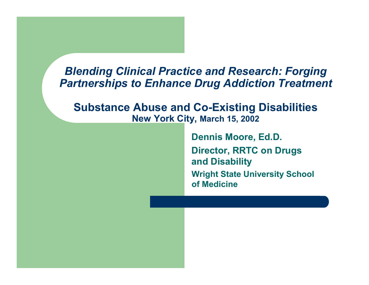# *Blending Clinical Practice and Research: Forging Partnerships to Enhance Drug Addiction Treatment*

### **Substance Abuse and Co-Existing Disabilities Ne w Yor k Ci t y, Mar c h 15, 2002**

**Dennis Moo re, Ed.D. Direc tor, RRTC on Drugs and Disability Wright Sta t e Uni versity School of Medicine**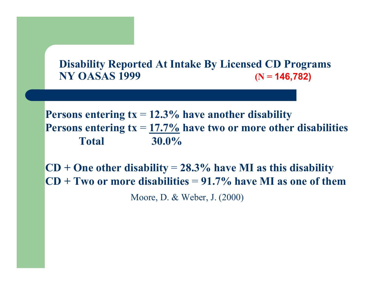#### **Disability Reported At Intake By Licensed CD Programs NY OASAS 1999(N = 146,782)**

**Persons entering tx** <sup>=</sup>**12.3% have another disability Persons entering tx** <sup>=</sup>**17.7% have t wo or more other disab ilities Total 30.0%**

**CD + One o ther disability** <sup>=</sup>**28.3% have MI as this disability CD + Two or more disabilities** <sup>=</sup>**91.7% have MI as one of them** Moore, D. & W e b er, J. (2000 )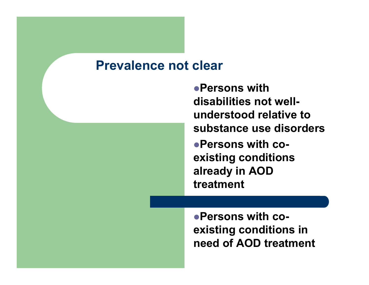# **Prevalence not clear**

**Persons withdisabilities not wellunderstood relative to substance use disorders**

**Persons with coexisting conditions alread y in AOD treatment** 

**Persons with coexisting conditions in need of AOD treatment**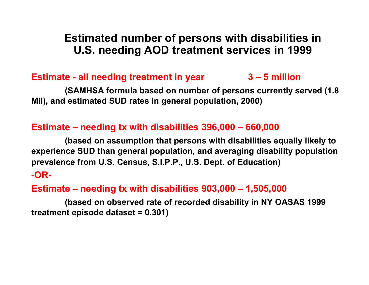# **Estimated number of persons with disabilities in U.S. needing AOD treatment services in 1999**

### **Estimate - all needing treatment in y ear 3 – 5 million**

(SAMHSA formula based on number of persons currently served (1.8 **Mil), and estimated SUD rates in general population, 2000)**

### **Estimate – needing tx wit h disabilitie s 396,000 – 6 6 0,000**

**(based on assumption that persons with disabilities equally likely to**  experience SUD than general population, and averaging disability population prevalence from U.S. Census, S.I.P.P., U.S. Dept. of Education) -**OR-**

### **Estimate – needing tx wit h disabilitie s 903,000 – 1,505,0 0 0**

(based on observed rate of recorded disability in NY OASAS 1999 **treatm e n t episo d e d ataset = 0.301)**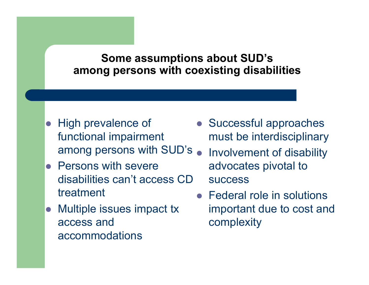# **Some assumptions about SUD's among persons with coexisting disabilitie s**

- High prevalence of functional impairment among persons with SUD's  $_{\bullet}$
- Persons with severe disabilities can't access CD treatment
- Multiple issues impact tx access and accommodations
- $\bullet$  Successful approaches must be interdisciplinary
	- Involvement of disability advocates piv otal to success
- Federal role in solutions important due to cost and complexity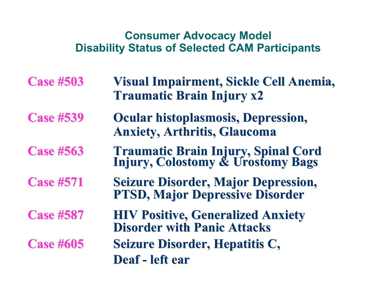# **Consumer Advocacy Model Disability Status of Selected CAM Participants**

**Case #503 Case #503Visual Impairment, Sickle Cell Anemia, Traumatic Brain Injury x2** 

**Case #539 Case #539Ocular histoplasmosis, Depression, Anxiety, Arthritis, Glaucoma Anxiety, Arthritis, Glaucoma**

**Traumatic Brain Injury, Spinal Cord Injury, Colostomy & Urostomy Bags** 

**Seizure Disorder, Major Depression, PTSD, Major Depressive Disorder** 

**HIV Positive, Generalized Anxiety Disorder with Panic Attacks Seizure Disorder, Hepatitis C, Deaf - left ear left ear**

**Case #587 Case #587**

**Case #563 Case #563**

**Case #571 Case #571**

**Case #605 Case #605**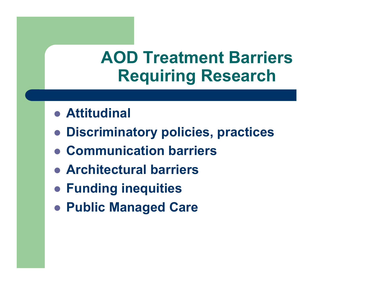# **AOD Treatment Barriers Requiring Research**

- **Attitudinal**
- **Discriminator y policies, practices**
- **Communication barriers**
- **Architectural barriers**
- **Funding inequities**
- **Public Managed Care**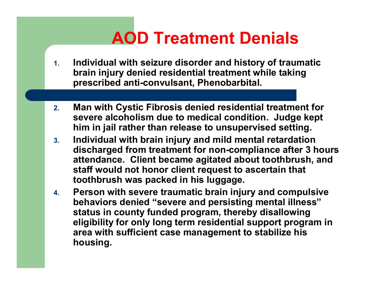# **AOD Treatment Denials**

- **1. Individual with seizu re disorder and histo r y of traumatic brain injury denied resid ential tre atment w hile taking prescribed a nti-convulsant, Phenobar bital.**
- **2. Man with C ysti c Fibrosis denied residential tre atment for severe alcoh olism due to medical con dition. Judge kept him in jail rather than release to unsu pervised setting.**
- **3. Individual with brain injury and mild mental retarda tion**  discharged from treatment for non-compliance after 3 hours attendance. Client became agitated about toothbrush, and **sta ff w ould not honor client reques t to ascertain that toothbrush w a s packed in his luggage.**
- **4. Person with severe traumatic brain i njur y and compulsiv e behaviors denied "severe and per sisting men t al illness "sta tus in count y funded program, the reb y disallowin g eligibili t y for only long term residen tial support program in area with suffici ent case managemen t to s tabilize his housing.**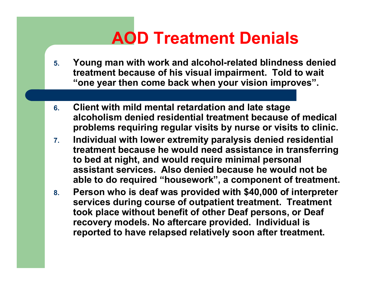# **AOD Treatment Denials**

- **5. Young man with w ork and alcohol-related blindness denied treatment because o f his visual impairment. Told to w ait "one year then come ba c k w hen your vision improves".**
- **6.**. Client with mild mental retardation and late stage **alcoholism denied residential treatment because of medical problems requiring regular visits b y n urse or visits to clinic.**
- **7. Individual with lo w e r extremity paralysis denied residential treatment because he w ould need as sistance in transferring**  to bed at night, and would require minimal personal **assistant services. Also denied because he would not be able to do required "house w o r k", a c omponent o f treatment.**
- **8. Person w ho is dea f w a s provided wit h \$40,000 o f interpreter**  services during course of outpatient treatment. Treatment **took place without benefit o f o ther Deaf persons, or Dea f recov e r y models. No aftercare provided. Individual is**  reported to have relapsed relatively soon after treatment.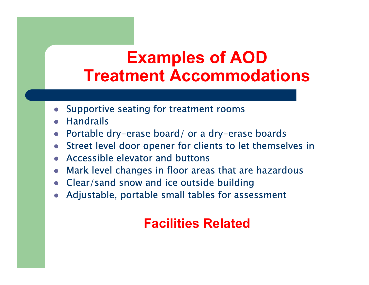# **Examples of AOD Treatment Accommodations**

- Supportive seating for treatment rooms
- Handrails
- $\bullet$ Portable d ry-erase board/ or a d ry-era se boards
- $\bullet$ • Street level door opener for clients to let themselves in
- Accessible elevator and buttons
- $\bullet$ • Mark level changes in floor areas that are hazardous
- Clear/sand snow and ice outside building
- $\bullet$ • Adjustable, portable small tables for assessment

# **Facilities Related**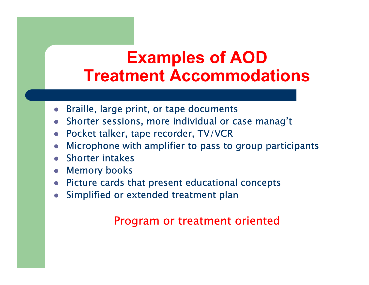# **Examples of AOD Treatment Accommodations**

- $\bullet$ B raille, large p rint, or tape documents
- $\bullet$ • Shorter sessions, more individual or case manag't
- $\bullet$ • Pocket talker, tape recorder, TV/VCR
- $\bullet$ • Microphone with amplifier to pass to group participants
- $\bullet$ • Shorter intakes
- $\bullet$ • Memory books
- Picture cards that present educational concepts
- $\bullet$ Simplified or extended treatment plan

# Program or treatment oriented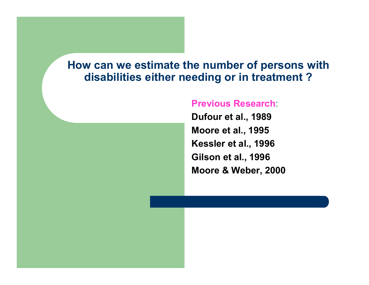### **How can we estimate the number of persons with disabilities either needing or in treatment ?**

#### **Previous Research**:

**Dufour et al., 1989 Moore et al., 1995 Kessler et al., 1996 Gilson et al., 1996 Moore & Weber, 2000**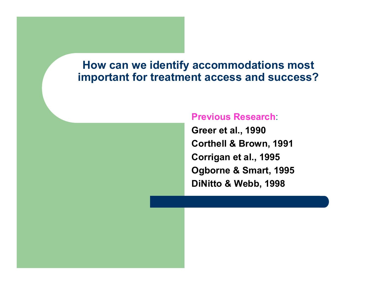### **How can we identify accommodations most important for treatment access and success?**

#### **Previous Research**:

**Greer et al., 1990 Corthell & Brown, 1991 Corrigan et al., 1995 Ogborne & Smart, 1995 DiNitto & Webb, 1998**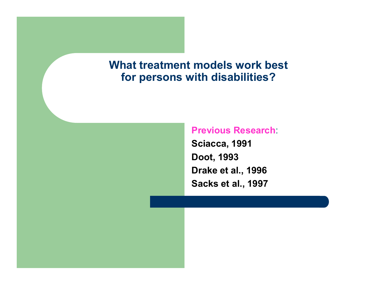### **What treatment models work best for persons with disabilities?**

**Previous Research**:

**Sciacca, 199 1 Doot, 1993 Drake e t al., 1996 Sacks et al., 1997**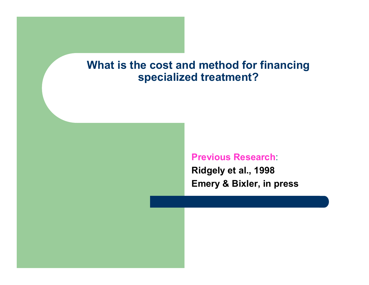# **What is the cost and method for financing specialized treatment?**

#### **Previous Research**:

**Ridgely et al., 199 8 Emer y & Bixler, in p res s**